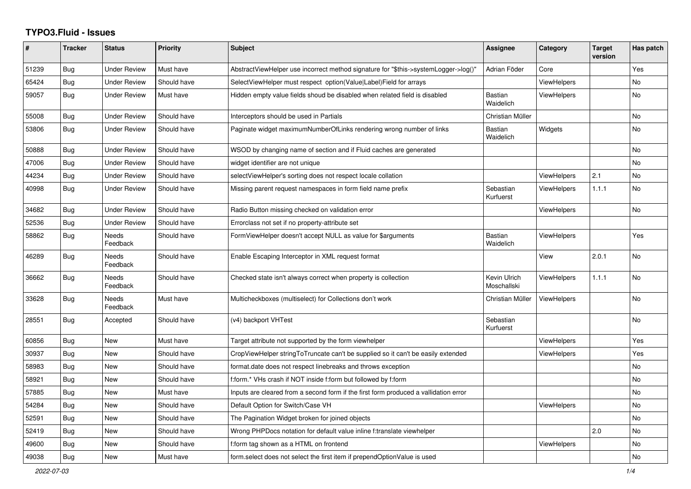## **TYPO3.Fluid - Issues**

| ∦     | <b>Tracker</b> | <b>Status</b>            | <b>Priority</b> | Subject                                                                              | Assignee                    | Category           | <b>Target</b><br>version | Has patch |
|-------|----------------|--------------------------|-----------------|--------------------------------------------------------------------------------------|-----------------------------|--------------------|--------------------------|-----------|
| 51239 | <b>Bug</b>     | <b>Under Review</b>      | Must have       | AbstractViewHelper use incorrect method signature for "\$this->systemLogger->log()"  | Adrian Föder                | Core               |                          | Yes       |
| 65424 | <b>Bug</b>     | <b>Under Review</b>      | Should have     | SelectViewHelper must respect option(Value Label)Field for arrays                    |                             | <b>ViewHelpers</b> |                          | No        |
| 59057 | Bug            | <b>Under Review</b>      | Must have       | Hidden empty value fields shoud be disabled when related field is disabled           | <b>Bastian</b><br>Waidelich | <b>ViewHelpers</b> |                          | No        |
| 55008 | <b>Bug</b>     | <b>Under Review</b>      | Should have     | Interceptors should be used in Partials                                              | Christian Müller            |                    |                          | No        |
| 53806 | <b>Bug</b>     | Under Review             | Should have     | Paginate widget maximumNumberOfLinks rendering wrong number of links                 | <b>Bastian</b><br>Waidelich | Widgets            |                          | No        |
| 50888 | <b>Bug</b>     | <b>Under Review</b>      | Should have     | WSOD by changing name of section and if Fluid caches are generated                   |                             |                    |                          | No        |
| 47006 | Bug            | <b>Under Review</b>      | Should have     | widget identifier are not unique                                                     |                             |                    |                          | <b>No</b> |
| 44234 | Bug            | <b>Under Review</b>      | Should have     | selectViewHelper's sorting does not respect locale collation                         |                             | <b>ViewHelpers</b> | 2.1                      | No        |
| 40998 | <b>Bug</b>     | <b>Under Review</b>      | Should have     | Missing parent request namespaces in form field name prefix                          | Sebastian<br>Kurfuerst      | <b>ViewHelpers</b> | 1.1.1                    | No        |
| 34682 | <b>Bug</b>     | <b>Under Review</b>      | Should have     | Radio Button missing checked on validation error                                     |                             | ViewHelpers        |                          | No        |
| 52536 | <b>Bug</b>     | <b>Under Review</b>      | Should have     | Errorclass not set if no property-attribute set                                      |                             |                    |                          |           |
| 58862 | <b>Bug</b>     | Needs<br>Feedback        | Should have     | FormViewHelper doesn't accept NULL as value for \$arguments                          | <b>Bastian</b><br>Waidelich | <b>ViewHelpers</b> |                          | Yes       |
| 46289 | Bug            | <b>Needs</b><br>Feedback | Should have     | Enable Escaping Interceptor in XML request format                                    |                             | View               | 2.0.1                    | No        |
| 36662 | <b>Bug</b>     | <b>Needs</b><br>Feedback | Should have     | Checked state isn't always correct when property is collection                       | Kevin Ulrich<br>Moschallski | <b>ViewHelpers</b> | 1.1.1                    | No        |
| 33628 | Bug            | Needs<br>Feedback        | Must have       | Multicheckboxes (multiselect) for Collections don't work                             | Christian Müller            | <b>ViewHelpers</b> |                          | No        |
| 28551 | Bug            | Accepted                 | Should have     | (v4) backport VHTest                                                                 | Sebastian<br>Kurfuerst      |                    |                          | No        |
| 60856 | <b>Bug</b>     | <b>New</b>               | Must have       | Target attribute not supported by the form viewhelper                                |                             | <b>ViewHelpers</b> |                          | Yes       |
| 30937 | <b>Bug</b>     | New                      | Should have     | CropViewHelper stringToTruncate can't be supplied so it can't be easily extended     |                             | <b>ViewHelpers</b> |                          | Yes       |
| 58983 | <b>Bug</b>     | New                      | Should have     | format.date does not respect linebreaks and throws exception                         |                             |                    |                          | No        |
| 58921 | <b>Bug</b>     | New                      | Should have     | f:form.* VHs crash if NOT inside f:form but followed by f:form                       |                             |                    |                          | No        |
| 57885 | <b>Bug</b>     | New                      | Must have       | Inputs are cleared from a second form if the first form produced a vallidation error |                             |                    |                          | No        |
| 54284 | Bug            | New                      | Should have     | Default Option for Switch/Case VH                                                    |                             | <b>ViewHelpers</b> |                          | No        |
| 52591 | Bug            | New                      | Should have     | The Pagination Widget broken for joined objects                                      |                             |                    |                          | No        |
| 52419 | Bug            | New                      | Should have     | Wrong PHPDocs notation for default value inline f:translate viewhelper               |                             |                    | 2.0                      | No        |
| 49600 | <b>Bug</b>     | New                      | Should have     | f:form tag shown as a HTML on frontend                                               |                             | <b>ViewHelpers</b> |                          | No        |
| 49038 | Bug            | New                      | Must have       | form.select does not select the first item if prependOptionValue is used             |                             |                    |                          | No        |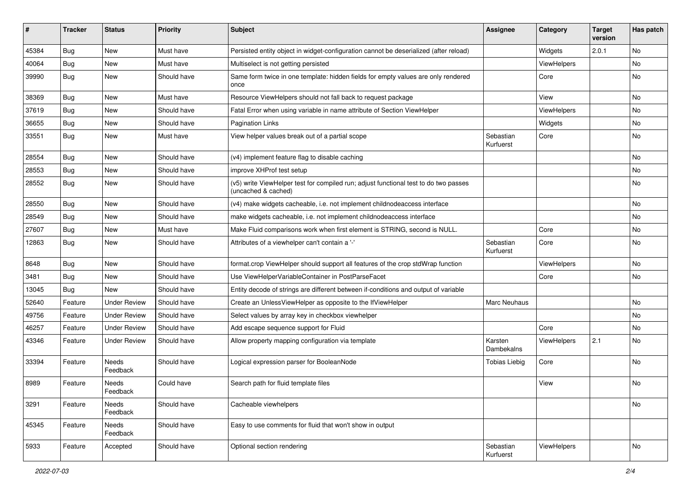| #     | <b>Tracker</b> | <b>Status</b>       | <b>Priority</b> | <b>Subject</b>                                                                                              | <b>Assignee</b>        | Category    | <b>Target</b><br>version | Has patch |
|-------|----------------|---------------------|-----------------|-------------------------------------------------------------------------------------------------------------|------------------------|-------------|--------------------------|-----------|
| 45384 | Bug            | New                 | Must have       | Persisted entity object in widget-configuration cannot be deserialized (after reload)                       |                        | Widgets     | 2.0.1                    | <b>No</b> |
| 40064 | <b>Bug</b>     | New                 | Must have       | Multiselect is not getting persisted                                                                        |                        | ViewHelpers |                          | No        |
| 39990 | Bug            | New                 | Should have     | Same form twice in one template: hidden fields for empty values are only rendered<br>once                   |                        | Core        |                          | No        |
| 38369 | Bug            | New                 | Must have       | Resource ViewHelpers should not fall back to request package                                                |                        | View        |                          | No        |
| 37619 | Bug            | New                 | Should have     | Fatal Error when using variable in name attribute of Section ViewHelper                                     |                        | ViewHelpers |                          | No        |
| 36655 | Bug            | New                 | Should have     | <b>Pagination Links</b>                                                                                     |                        | Widgets     |                          | No        |
| 33551 | Bug            | New                 | Must have       | View helper values break out of a partial scope                                                             | Sebastian<br>Kurfuerst | Core        |                          | No        |
| 28554 | Bug            | New                 | Should have     | (v4) implement feature flag to disable caching                                                              |                        |             |                          | No        |
| 28553 | Bug            | New                 | Should have     | improve XHProf test setup                                                                                   |                        |             |                          | No        |
| 28552 | Bug            | New                 | Should have     | (v5) write ViewHelper test for compiled run; adjust functional test to do two passes<br>(uncached & cached) |                        |             |                          | No        |
| 28550 | Bug            | New                 | Should have     | (v4) make widgets cacheable, i.e. not implement childnodeaccess interface                                   |                        |             |                          | No        |
| 28549 | Bug            | New                 | Should have     | make widgets cacheable, i.e. not implement childnodeaccess interface                                        |                        |             |                          | No        |
| 27607 | Bug            | New                 | Must have       | Make Fluid comparisons work when first element is STRING, second is NULL.                                   |                        | Core        |                          | No        |
| 12863 | Bug            | New                 | Should have     | Attributes of a viewhelper can't contain a '-'                                                              | Sebastian<br>Kurfuerst | Core        |                          | No        |
| 8648  | Bug            | New                 | Should have     | format.crop ViewHelper should support all features of the crop stdWrap function                             |                        | ViewHelpers |                          | <b>No</b> |
| 3481  | Bug            | New                 | Should have     | Use ViewHelperVariableContainer in PostParseFacet                                                           |                        | Core        |                          | No        |
| 13045 | Bug            | <b>New</b>          | Should have     | Entity decode of strings are different between if-conditions and output of variable                         |                        |             |                          |           |
| 52640 | Feature        | <b>Under Review</b> | Should have     | Create an UnlessViewHelper as opposite to the IfViewHelper                                                  | <b>Marc Neuhaus</b>    |             |                          | No        |
| 49756 | Feature        | <b>Under Review</b> | Should have     | Select values by array key in checkbox viewhelper                                                           |                        |             |                          | No        |
| 46257 | Feature        | <b>Under Review</b> | Should have     | Add escape sequence support for Fluid                                                                       |                        | Core        |                          | No        |
| 43346 | Feature        | <b>Under Review</b> | Should have     | Allow property mapping configuration via template                                                           | Karsten<br>Dambekalns  | ViewHelpers | 2.1                      | No        |
| 33394 | Feature        | Needs<br>Feedback   | Should have     | Logical expression parser for BooleanNode                                                                   | <b>Tobias Liebig</b>   | Core        |                          | No        |
| 8989  | Feature        | Needs<br>Feedback   | Could have      | Search path for fluid template files                                                                        |                        | View        |                          | No        |
| 3291  | Feature        | Needs<br>Feedback   | Should have     | Cacheable viewhelpers                                                                                       |                        |             |                          | No        |
| 45345 | Feature        | Needs<br>Feedback   | Should have     | Easy to use comments for fluid that won't show in output                                                    |                        |             |                          |           |
| 5933  | Feature        | Accepted            | Should have     | Optional section rendering                                                                                  | Sebastian<br>Kurfuerst | ViewHelpers |                          | No        |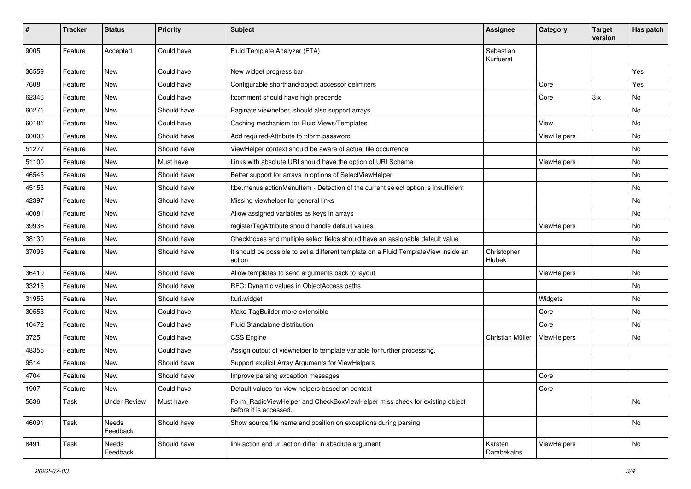| #     | <b>Tracker</b> | <b>Status</b>       | <b>Priority</b> | Subject                                                                                              | <b>Assignee</b>        | Category    | <b>Target</b><br>version | Has patch |
|-------|----------------|---------------------|-----------------|------------------------------------------------------------------------------------------------------|------------------------|-------------|--------------------------|-----------|
| 9005  | Feature        | Accepted            | Could have      | Fluid Template Analyzer (FTA)                                                                        | Sebastian<br>Kurfuerst |             |                          |           |
| 36559 | Feature        | New                 | Could have      | New widget progress bar                                                                              |                        |             |                          | Yes       |
| 7608  | Feature        | New                 | Could have      | Configurable shorthand/object accessor delimiters                                                    |                        | Core        |                          | Yes       |
| 62346 | Feature        | New                 | Could have      | f:comment should have high precende                                                                  |                        | Core        | 3.x                      | No        |
| 60271 | Feature        | New                 | Should have     | Paginate viewhelper, should also support arrays                                                      |                        |             |                          | No        |
| 60181 | Feature        | New                 | Could have      | Caching mechanism for Fluid Views/Templates                                                          |                        | View        |                          | No        |
| 60003 | Feature        | New                 | Should have     | Add required-Attribute to f:form.password                                                            |                        | ViewHelpers |                          | No        |
| 51277 | Feature        | New                 | Should have     | ViewHelper context should be aware of actual file occurrence                                         |                        |             |                          | No        |
| 51100 | Feature        | New                 | Must have       | Links with absolute URI should have the option of URI Scheme                                         |                        | ViewHelpers |                          | No        |
| 46545 | Feature        | New                 | Should have     | Better support for arrays in options of SelectViewHelper                                             |                        |             |                          | No        |
| 45153 | Feature        | New                 | Should have     | f:be.menus.actionMenuItem - Detection of the current select option is insufficient                   |                        |             |                          | No        |
| 42397 | Feature        | New                 | Should have     | Missing viewhelper for general links                                                                 |                        |             |                          | No        |
| 40081 | Feature        | New                 | Should have     | Allow assigned variables as keys in arrays                                                           |                        |             |                          | No        |
| 39936 | Feature        | New                 | Should have     | registerTagAttribute should handle default values                                                    |                        | ViewHelpers |                          | No        |
| 38130 | Feature        | New                 | Should have     | Checkboxes and multiple select fields should have an assignable default value                        |                        |             |                          | No        |
| 37095 | Feature        | New                 | Should have     | It should be possible to set a different template on a Fluid TemplateView inside an<br>action        | Christopher<br>Hlubek  |             |                          | No        |
| 36410 | Feature        | New                 | Should have     | Allow templates to send arguments back to layout                                                     |                        | ViewHelpers |                          | No        |
| 33215 | Feature        | New                 | Should have     | RFC: Dynamic values in ObjectAccess paths                                                            |                        |             |                          | No        |
| 31955 | Feature        | New                 | Should have     | f:uri.widget                                                                                         |                        | Widgets     |                          | No        |
| 30555 | Feature        | New                 | Could have      | Make TagBuilder more extensible                                                                      |                        | Core        |                          | No        |
| 10472 | Feature        | New                 | Could have      | Fluid Standalone distribution                                                                        |                        | Core        |                          | No        |
| 3725  | Feature        | New                 | Could have      | <b>CSS Engine</b>                                                                                    | Christian Müller       | ViewHelpers |                          | No        |
| 48355 | Feature        | New                 | Could have      | Assign output of viewhelper to template variable for further processing.                             |                        |             |                          |           |
| 9514  | Feature        | New                 | Should have     | Support explicit Array Arguments for ViewHelpers                                                     |                        |             |                          |           |
| 4704  | Feature        | New                 | Should have     | Improve parsing exception messages                                                                   |                        | Core        |                          |           |
| 1907  | Feature        | New                 | Could have      | Default values for view helpers based on context                                                     |                        | Core        |                          |           |
| 5636  | Task           | <b>Under Review</b> | Must have       | Form RadioViewHelper and CheckBoxViewHelper miss check for existing object<br>before it is accessed. |                        |             |                          | No        |
| 46091 | Task           | Needs<br>Feedback   | Should have     | Show source file name and position on exceptions during parsing                                      |                        |             |                          | No        |
| 8491  | Task           | Needs<br>Feedback   | Should have     | link.action and uri.action differ in absolute argument                                               | Karsten<br>Dambekalns  | ViewHelpers |                          | No        |